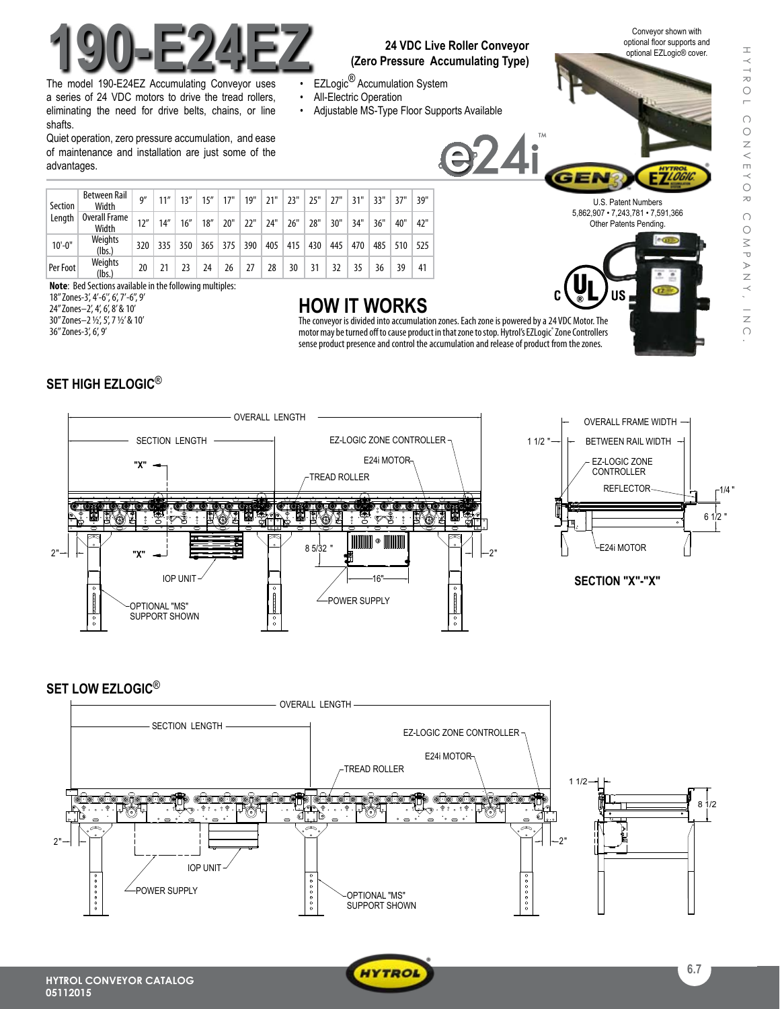

The model 190-E24EZ Accumulating Conveyor uses a series of 24 VDC motors to drive the tread rollers, eliminating the need for drive belts, chains, or line shafts.

Quiet operation, zero pressure accumulation, and ease of maintenance and installation are just some of the advantages.

#### **24 VDC Live Roller Conveyor** optional floor supports and optional EZLogic® cover. **(Zero Pressure Accumulating Type)**

24i

- EZLogic<sup>®</sup> Accumulation System
- All-Electric Operation
- Adjustable MS-Type Floor Supports Available

Conveyor shown with optional floor supports and

e cos

U.S. Patent Numbers 5,862,907 • 7,243,781 • 7,591,366 Other Patents Pending.

| Section<br>Length | Between Rail<br>Width  | Q''  | 11"  | 13'' | 15'' | 17" | 19" | 21" | 23" | 25" | 27" | 31" | 33" | 37" | 39" |
|-------------------|------------------------|------|------|------|------|-----|-----|-----|-----|-----|-----|-----|-----|-----|-----|
|                   | Overall Frame<br>Width | 12'' | 14'' | 16'' | 18'' | 20" | 22" | 24" | 26" | 28" | 30" | 34" | 36" | 40" | 42" |
| $10'-0$ "         | Weights<br>(lbs.)      | 320  | 335  | 350  | 365  | 375 | 390 | 405 | 415 | 430 | 445 | 470 | 485 | 510 | 525 |
| Per Foot          | Weights<br>(lbs.)      | 20   |      |      | 24   | 26  | 27  | 28  | 30  | 31  | 32  | 35  | 36  | 39  | 41  |

**Note**: Bed Sections available in the following multiples:

18'' Zones-3', 4'-6'', 6', 7'-6'', 9' 24" Zones–2', 4', 6', 8' & 10' 30" Zones–2 1/2', 5', 7 1/2' & 10' 36'' Zones-3', 6', 9'

# **HOW IT WORKS**

The conveyor is divided into accumulation zones. Each zone is powered by a 24 VDC Motor. The motor may be turned off to cause product in that zone to stop. Hytrol's EZLogic® Zone Controllers sense product presence and control the accumulation and release of product from the zones.

### **SET HIGH EZLOGIC**®



### **SET LOW EZLOGIC**®